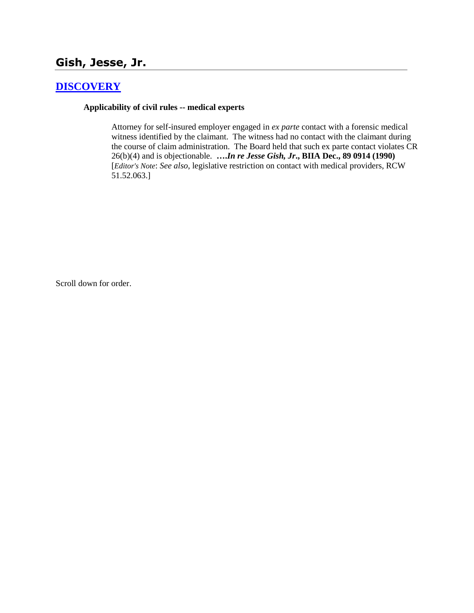# **Gish, Jesse, Jr.**

# **[DISCOVERY](http://www.biia.wa.gov/SDSubjectIndex.html#DISCOVERYFITS)**

### **Applicability of civil rules -- medical experts**

Attorney for self-insured employer engaged in *ex parte* contact with a forensic medical witness identified by the claimant. The witness had no contact with the claimant during the course of claim administration. The Board held that such ex parte contact violates CR 26(b)(4) and is objectionable. **….***In re Jesse Gish, Jr***., BIIA Dec., 89 0914 (1990)**  [*Editor's Note*: *See also*, legislative restriction on contact with medical providers, RCW 51.52.063.]

Scroll down for order.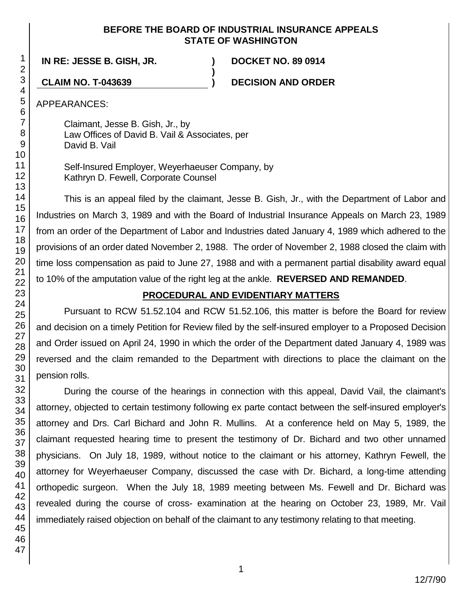### **BEFORE THE BOARD OF INDUSTRIAL INSURANCE APPEALS STATE OF WASHINGTON**

**)**

**IN RE: JESSE B. GISH, JR. ) DOCKET NO. 89 0914**

**CLAIM NO. T-043639 ) DECISION AND ORDER**

APPEARANCES:

Claimant, Jesse B. Gish, Jr., by Law Offices of David B. Vail & Associates, per David B. Vail

Self-Insured Employer, Weyerhaeuser Company, by Kathryn D. Fewell, Corporate Counsel

This is an appeal filed by the claimant, Jesse B. Gish, Jr., with the Department of Labor and Industries on March 3, 1989 and with the Board of Industrial Insurance Appeals on March 23, 1989 from an order of the Department of Labor and Industries dated January 4, 1989 which adhered to the provisions of an order dated November 2, 1988. The order of November 2, 1988 closed the claim with time loss compensation as paid to June 27, 1988 and with a permanent partial disability award equal to 10% of the amputation value of the right leg at the ankle. **REVERSED AND REMANDED**.

## **PROCEDURAL AND EVIDENTIARY MATTERS**

Pursuant to RCW 51.52.104 and RCW 51.52.106, this matter is before the Board for review and decision on a timely Petition for Review filed by the self-insured employer to a Proposed Decision and Order issued on April 24, 1990 in which the order of the Department dated January 4, 1989 was reversed and the claim remanded to the Department with directions to place the claimant on the pension rolls.

During the course of the hearings in connection with this appeal, David Vail, the claimant's attorney, objected to certain testimony following ex parte contact between the self-insured employer's attorney and Drs. Carl Bichard and John R. Mullins. At a conference held on May 5, 1989, the claimant requested hearing time to present the testimony of Dr. Bichard and two other unnamed physicians. On July 18, 1989, without notice to the claimant or his attorney, Kathryn Fewell, the attorney for Weyerhaeuser Company, discussed the case with Dr. Bichard, a long-time attending orthopedic surgeon. When the July 18, 1989 meeting between Ms. Fewell and Dr. Bichard was revealed during the course of cross- examination at the hearing on October 23, 1989, Mr. Vail immediately raised objection on behalf of the claimant to any testimony relating to that meeting.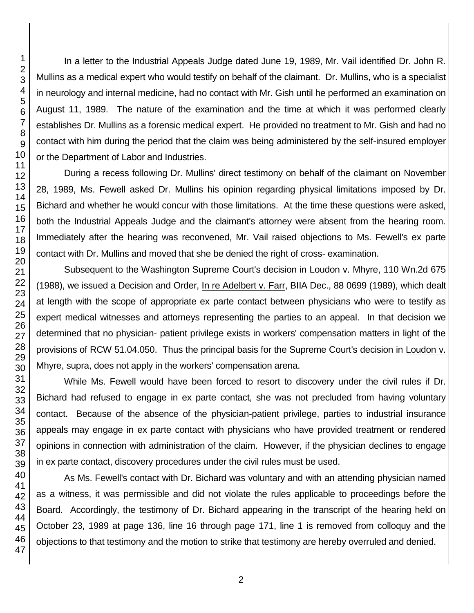In a letter to the Industrial Appeals Judge dated June 19, 1989, Mr. Vail identified Dr. John R. Mullins as a medical expert who would testify on behalf of the claimant. Dr. Mullins, who is a specialist in neurology and internal medicine, had no contact with Mr. Gish until he performed an examination on August 11, 1989. The nature of the examination and the time at which it was performed clearly establishes Dr. Mullins as a forensic medical expert. He provided no treatment to Mr. Gish and had no contact with him during the period that the claim was being administered by the self-insured employer or the Department of Labor and Industries.

During a recess following Dr. Mullins' direct testimony on behalf of the claimant on November 28, 1989, Ms. Fewell asked Dr. Mullins his opinion regarding physical limitations imposed by Dr. Bichard and whether he would concur with those limitations. At the time these questions were asked, both the Industrial Appeals Judge and the claimant's attorney were absent from the hearing room. Immediately after the hearing was reconvened, Mr. Vail raised objections to Ms. Fewell's ex parte contact with Dr. Mullins and moved that she be denied the right of cross- examination.

Subsequent to the Washington Supreme Court's decision in Loudon v. Mhyre, 110 Wn.2d 675 (1988), we issued a Decision and Order, In re Adelbert v. Farr, BIIA Dec., 88 0699 (1989), which dealt at length with the scope of appropriate ex parte contact between physicians who were to testify as expert medical witnesses and attorneys representing the parties to an appeal. In that decision we determined that no physician- patient privilege exists in workers' compensation matters in light of the provisions of RCW 51.04.050. Thus the principal basis for the Supreme Court's decision in Loudon v. Mhyre, supra, does not apply in the workers' compensation arena.

While Ms. Fewell would have been forced to resort to discovery under the civil rules if Dr. Bichard had refused to engage in ex parte contact, she was not precluded from having voluntary contact. Because of the absence of the physician-patient privilege, parties to industrial insurance appeals may engage in ex parte contact with physicians who have provided treatment or rendered opinions in connection with administration of the claim. However, if the physician declines to engage in ex parte contact, discovery procedures under the civil rules must be used.

As Ms. Fewell's contact with Dr. Bichard was voluntary and with an attending physician named as a witness, it was permissible and did not violate the rules applicable to proceedings before the Board. Accordingly, the testimony of Dr. Bichard appearing in the transcript of the hearing held on October 23, 1989 at page 136, line 16 through page 171, line 1 is removed from colloquy and the objections to that testimony and the motion to strike that testimony are hereby overruled and denied.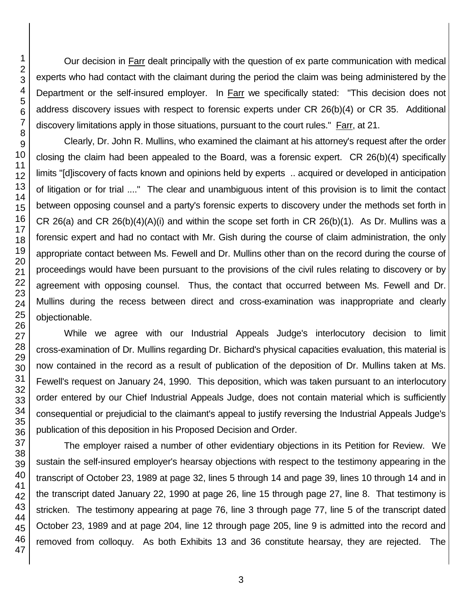Our decision in Farr dealt principally with the question of ex parte communication with medical experts who had contact with the claimant during the period the claim was being administered by the Department or the self-insured employer. In **Farr** we specifically stated: "This decision does not address discovery issues with respect to forensic experts under CR 26(b)(4) or CR 35. Additional discovery limitations apply in those situations, pursuant to the court rules." Farr, at 21.

Clearly, Dr. John R. Mullins, who examined the claimant at his attorney's request after the order closing the claim had been appealed to the Board, was a forensic expert. CR 26(b)(4) specifically limits "[d]iscovery of facts known and opinions held by experts .. acquired or developed in anticipation of litigation or for trial ...." The clear and unambiguous intent of this provision is to limit the contact between opposing counsel and a party's forensic experts to discovery under the methods set forth in CR 26(a) and CR 26(b)(4)(A)(i) and within the scope set forth in CR 26(b)(1). As Dr. Mullins was a forensic expert and had no contact with Mr. Gish during the course of claim administration, the only appropriate contact between Ms. Fewell and Dr. Mullins other than on the record during the course of proceedings would have been pursuant to the provisions of the civil rules relating to discovery or by agreement with opposing counsel. Thus, the contact that occurred between Ms. Fewell and Dr. Mullins during the recess between direct and cross-examination was inappropriate and clearly objectionable.

While we agree with our Industrial Appeals Judge's interlocutory decision to limit cross-examination of Dr. Mullins regarding Dr. Bichard's physical capacities evaluation, this material is now contained in the record as a result of publication of the deposition of Dr. Mullins taken at Ms. Fewell's request on January 24, 1990. This deposition, which was taken pursuant to an interlocutory order entered by our Chief Industrial Appeals Judge, does not contain material which is sufficiently consequential or prejudicial to the claimant's appeal to justify reversing the Industrial Appeals Judge's publication of this deposition in his Proposed Decision and Order.

The employer raised a number of other evidentiary objections in its Petition for Review. We sustain the self-insured employer's hearsay objections with respect to the testimony appearing in the transcript of October 23, 1989 at page 32, lines 5 through 14 and page 39, lines 10 through 14 and in the transcript dated January 22, 1990 at page 26, line 15 through page 27, line 8. That testimony is stricken. The testimony appearing at page 76, line 3 through page 77, line 5 of the transcript dated October 23, 1989 and at page 204, line 12 through page 205, line 9 is admitted into the record and removed from colloquy. As both Exhibits 13 and 36 constitute hearsay, they are rejected. The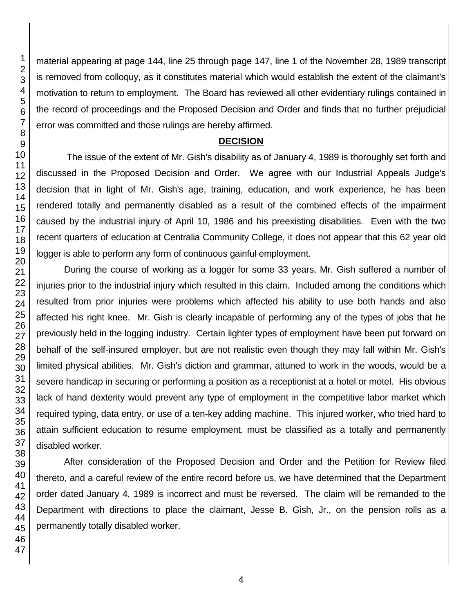material appearing at page 144, line 25 through page 147, line 1 of the November 28, 1989 transcript is removed from colloquy, as it constitutes material which would establish the extent of the claimant's motivation to return to employment. The Board has reviewed all other evidentiary rulings contained in the record of proceedings and the Proposed Decision and Order and finds that no further prejudicial error was committed and those rulings are hereby affirmed.

### **DECISION**

The issue of the extent of Mr. Gish's disability as of January 4, 1989 is thoroughly set forth and discussed in the Proposed Decision and Order. We agree with our Industrial Appeals Judge's decision that in light of Mr. Gish's age, training, education, and work experience, he has been rendered totally and permanently disabled as a result of the combined effects of the impairment caused by the industrial injury of April 10, 1986 and his preexisting disabilities. Even with the two recent quarters of education at Centralia Community College, it does not appear that this 62 year old logger is able to perform any form of continuous gainful employment.

During the course of working as a logger for some 33 years, Mr. Gish suffered a number of injuries prior to the industrial injury which resulted in this claim. Included among the conditions which resulted from prior injuries were problems which affected his ability to use both hands and also affected his right knee. Mr. Gish is clearly incapable of performing any of the types of jobs that he previously held in the logging industry. Certain lighter types of employment have been put forward on behalf of the self-insured employer, but are not realistic even though they may fall within Mr. Gish's limited physical abilities. Mr. Gish's diction and grammar, attuned to work in the woods, would be a severe handicap in securing or performing a position as a receptionist at a hotel or motel. His obvious lack of hand dexterity would prevent any type of employment in the competitive labor market which required typing, data entry, or use of a ten-key adding machine. This injured worker, who tried hard to attain sufficient education to resume employment, must be classified as a totally and permanently disabled worker.

After consideration of the Proposed Decision and Order and the Petition for Review filed thereto, and a careful review of the entire record before us, we have determined that the Department order dated January 4, 1989 is incorrect and must be reversed. The claim will be remanded to the Department with directions to place the claimant, Jesse B. Gish, Jr., on the pension rolls as a permanently totally disabled worker.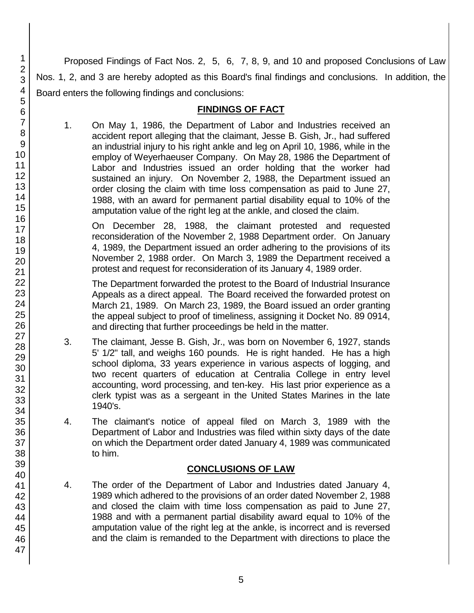Proposed Findings of Fact Nos. 2, 5, 6, 7, 8, 9, and 10 and proposed Conclusions of Law Nos. 1, 2, and 3 are hereby adopted as this Board's final findings and conclusions. In addition, the Board enters the following findings and conclusions:

### **FINDINGS OF FACT**

1. On May 1, 1986, the Department of Labor and Industries received an accident report alleging that the claimant, Jesse B. Gish, Jr., had suffered an industrial injury to his right ankle and leg on April 10, 1986, while in the employ of Weyerhaeuser Company. On May 28, 1986 the Department of Labor and Industries issued an order holding that the worker had sustained an injury. On November 2, 1988, the Department issued an order closing the claim with time loss compensation as paid to June 27, 1988, with an award for permanent partial disability equal to 10% of the amputation value of the right leg at the ankle, and closed the claim.

On December 28, 1988, the claimant protested and requested reconsideration of the November 2, 1988 Department order. On January 4, 1989, the Department issued an order adhering to the provisions of its November 2, 1988 order. On March 3, 1989 the Department received a protest and request for reconsideration of its January 4, 1989 order.

The Department forwarded the protest to the Board of Industrial Insurance Appeals as a direct appeal. The Board received the forwarded protest on March 21, 1989. On March 23, 1989, the Board issued an order granting the appeal subject to proof of timeliness, assigning it Docket No. 89 0914, and directing that further proceedings be held in the matter.

- 3. The claimant, Jesse B. Gish, Jr., was born on November 6, 1927, stands 5' 1/2" tall, and weighs 160 pounds. He is right handed. He has a high school diploma, 33 years experience in various aspects of logging, and two recent quarters of education at Centralia College in entry level accounting, word processing, and ten-key. His last prior experience as a clerk typist was as a sergeant in the United States Marines in the late 1940's.
- 4. The claimant's notice of appeal filed on March 3, 1989 with the Department of Labor and Industries was filed within sixty days of the date on which the Department order dated January 4, 1989 was communicated to him.

## **CONCLUSIONS OF LAW**

4. The order of the Department of Labor and Industries dated January 4, 1989 which adhered to the provisions of an order dated November 2, 1988 and closed the claim with time loss compensation as paid to June 27, 1988 and with a permanent partial disability award equal to 10% of the amputation value of the right leg at the ankle, is incorrect and is reversed and the claim is remanded to the Department with directions to place the